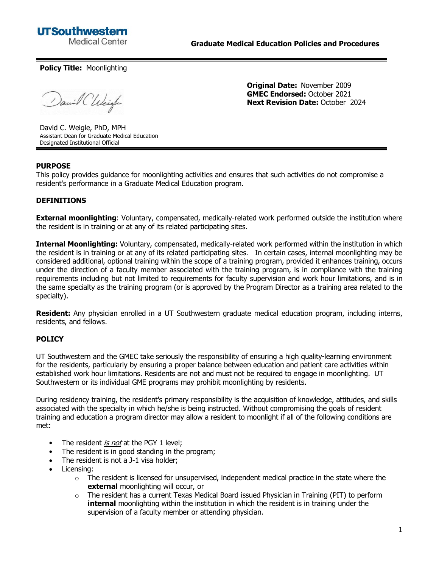

**Policy Title:** Moonlighting

David Chleigh

**Original Date:** November 2009 **GMEC Endorsed:** October 2021 **Next Revision Date:** October 2024

David C. Weigle, PhD, MPH Assistant Dean for Graduate Medical Education Designated Institutional Official

## **PURPOSE**

This policy provides guidance for moonlighting activities and ensures that such activities do not compromise a resident's performance in a Graduate Medical Education program.

### **DEFINITIONS**

**External moonlighting**: Voluntary, compensated, medically-related work performed outside the institution where the resident is in training or at any of its related participating sites.

**Internal Moonlighting:** Voluntary, compensated, medically-related work performed within the institution in which the resident is in training or at any of its related participating sites. In certain cases, internal moonlighting may be considered additional, optional training within the scope of a training program, provided it enhances training, occurs under the direction of a faculty member associated with the training program, is in compliance with the training requirements including but not limited to requirements for faculty supervision and work hour limitations, and is in the same specialty as the training program (or is approved by the Program Director as a training area related to the specialty).

**Resident:** Any physician enrolled in a UT Southwestern graduate medical education program, including interns, residents, and fellows.

#### **POLICY**

UT Southwestern and the GMEC take seriously the responsibility of ensuring a high quality-learning environment for the residents, particularly by ensuring a proper balance between education and patient care activities within established work hour limitations. Residents are not and must not be required to engage in moonlighting. UT Southwestern or its individual GME programs may prohibit moonlighting by residents.

During residency training, the resident's primary responsibility is the acquisition of knowledge, attitudes, and skills associated with the specialty in which he/she is being instructed. Without compromising the goals of resident training and education a program director may allow a resident to moonlight if all of the following conditions are met:

- The resident is not at the PGY 1 level:
- The resident is in good standing in the program;
- The resident is not a J-1 visa holder;
- Licensing:
	- $\circ$  The resident is licensed for unsupervised, independent medical practice in the state where the **external** moonlighting will occur, or
	- $\circ$  The resident has a current Texas Medical Board issued Physician in Training (PIT) to perform **internal** moonlighting within the institution in which the resident is in training under the supervision of a faculty member or attending physician.